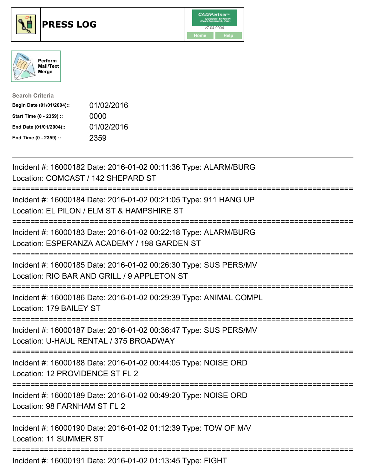





| <b>Search Criteria</b>    |            |
|---------------------------|------------|
| Begin Date (01/01/2004):: | 01/02/2016 |
| Start Time (0 - 2359) ::  | 0000       |
| End Date (01/01/2004)::   | 01/02/2016 |
| End Time (0 - 2359) ::    | 2359       |

| Incident #: 16000182 Date: 2016-01-02 00:11:36 Type: ALARM/BURG<br>Location: COMCAST / 142 SHEPARD ST                                                     |
|-----------------------------------------------------------------------------------------------------------------------------------------------------------|
| Incident #: 16000184 Date: 2016-01-02 00:21:05 Type: 911 HANG UP<br>Location: EL PILON / ELM ST & HAMPSHIRE ST                                            |
| Incident #: 16000183 Date: 2016-01-02 00:22:18 Type: ALARM/BURG<br>Location: ESPERANZA ACADEMY / 198 GARDEN ST                                            |
| Incident #: 16000185 Date: 2016-01-02 00:26:30 Type: SUS PERS/MV<br>Location: RIO BAR AND GRILL / 9 APPLETON ST                                           |
| Incident #: 16000186 Date: 2016-01-02 00:29:39 Type: ANIMAL COMPL<br>Location: 179 BAILEY ST<br>===================                                       |
| Incident #: 16000187 Date: 2016-01-02 00:36:47 Type: SUS PERS/MV<br>Location: U-HAUL RENTAL / 375 BROADWAY<br>;=============================              |
| Incident #: 16000188 Date: 2016-01-02 00:44:05 Type: NOISE ORD<br>Location: 12 PROVIDENCE ST FL 2<br>:========================<br>======================= |
| Incident #: 16000189 Date: 2016-01-02 00:49:20 Type: NOISE ORD<br>Location: 98 FARNHAM ST FL 2                                                            |
| Incident #: 16000190 Date: 2016-01-02 01:12:39 Type: TOW OF M/V<br><b>Location: 11 SUMMER ST</b>                                                          |
| Incident #: 16000191 Date: 2016-01-02 01:13:45 Type: FIGHT                                                                                                |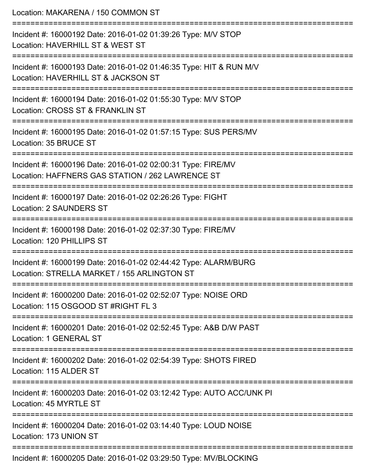| Location: MAKARENA / 150 COMMON ST                                                                                                     |
|----------------------------------------------------------------------------------------------------------------------------------------|
| Incident #: 16000192 Date: 2016-01-02 01:39:26 Type: M/V STOP<br>Location: HAVERHILL ST & WEST ST                                      |
| Incident #: 16000193 Date: 2016-01-02 01:46:35 Type: HIT & RUN M/V<br>Location: HAVERHILL ST & JACKSON ST                              |
| Incident #: 16000194 Date: 2016-01-02 01:55:30 Type: M/V STOP<br>Location: CROSS ST & FRANKLIN ST                                      |
| Incident #: 16000195 Date: 2016-01-02 01:57:15 Type: SUS PERS/MV<br>Location: 35 BRUCE ST                                              |
| Incident #: 16000196 Date: 2016-01-02 02:00:31 Type: FIRE/MV<br>Location: HAFFNERS GAS STATION / 262 LAWRENCE ST<br>:================= |
| Incident #: 16000197 Date: 2016-01-02 02:26:26 Type: FIGHT<br><b>Location: 2 SAUNDERS ST</b>                                           |
| Incident #: 16000198 Date: 2016-01-02 02:37:30 Type: FIRE/MV<br>Location: 120 PHILLIPS ST                                              |
| Incident #: 16000199 Date: 2016-01-02 02:44:42 Type: ALARM/BURG<br>Location: STRELLA MARKET / 155 ARLINGTON ST                         |
| Incident #: 16000200 Date: 2016-01-02 02:52:07 Type: NOISE ORD<br>Location: 115 OSGOOD ST #RIGHT FL 3                                  |
| Incident #: 16000201 Date: 2016-01-02 02:52:45 Type: A&B D/W PAST<br>Location: 1 GENERAL ST                                            |
| Incident #: 16000202 Date: 2016-01-02 02:54:39 Type: SHOTS FIRED<br>Location: 115 ALDER ST                                             |
| Incident #: 16000203 Date: 2016-01-02 03:12:42 Type: AUTO ACC/UNK PI<br>Location: 45 MYRTLE ST                                         |
| Incident #: 16000204 Date: 2016-01-02 03:14:40 Type: LOUD NOISE<br>Location: 173 UNION ST                                              |
| Incident #: 16000205 Date: 2016-01-02 03:29:50 Type: MV/BLOCKING                                                                       |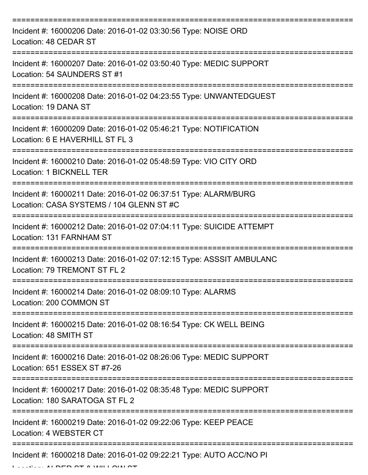| Incident #: 16000206 Date: 2016-01-02 03:30:56 Type: NOISE ORD<br>Location: 48 CEDAR ST                     |
|-------------------------------------------------------------------------------------------------------------|
| Incident #: 16000207 Date: 2016-01-02 03:50:40 Type: MEDIC SUPPORT<br>Location: 54 SAUNDERS ST #1           |
| Incident #: 16000208 Date: 2016-01-02 04:23:55 Type: UNWANTEDGUEST<br>Location: 19 DANA ST                  |
| Incident #: 16000209 Date: 2016-01-02 05:46:21 Type: NOTIFICATION<br>Location: 6 E HAVERHILL ST FL 3        |
| Incident #: 16000210 Date: 2016-01-02 05:48:59 Type: VIO CITY ORD<br>Location: 1 BICKNELL TER               |
| Incident #: 16000211 Date: 2016-01-02 06:37:51 Type: ALARM/BURG<br>Location: CASA SYSTEMS / 104 GLENN ST #C |
| Incident #: 16000212 Date: 2016-01-02 07:04:11 Type: SUICIDE ATTEMPT<br>Location: 131 FARNHAM ST            |
| Incident #: 16000213 Date: 2016-01-02 07:12:15 Type: ASSSIT AMBULANC<br>Location: 79 TREMONT ST FL 2        |
| Incident #: 16000214 Date: 2016-01-02 08:09:10 Type: ALARMS<br>Location: 200 COMMON ST                      |
| Incident #: 16000215 Date: 2016-01-02 08:16:54 Type: CK WELL BEING<br>Location: 48 SMITH ST                 |
| Incident #: 16000216 Date: 2016-01-02 08:26:06 Type: MEDIC SUPPORT<br>Location: 651 ESSEX ST #7-26          |
| Incident #: 16000217 Date: 2016-01-02 08:35:48 Type: MEDIC SUPPORT<br>Location: 180 SARATOGA ST FL 2        |
| Incident #: 16000219 Date: 2016-01-02 09:22:06 Type: KEEP PEACE<br>Location: 4 WEBSTER CT                   |
| Incident #: 16000218 Date: 2016-01-02 09:22:21 Type: AUTO ACC/NO PI                                         |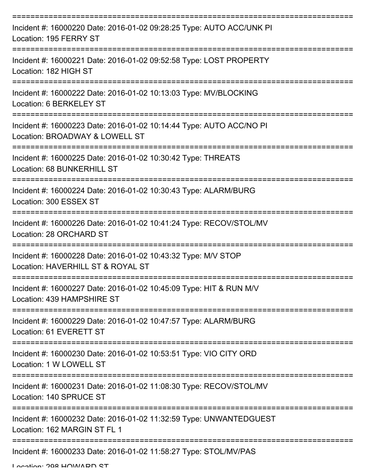| Incident #: 16000220 Date: 2016-01-02 09:28:25 Type: AUTO ACC/UNK PI<br>Location: 195 FERRY ST              |
|-------------------------------------------------------------------------------------------------------------|
| Incident #: 16000221 Date: 2016-01-02 09:52:58 Type: LOST PROPERTY<br>Location: 182 HIGH ST                 |
| Incident #: 16000222 Date: 2016-01-02 10:13:03 Type: MV/BLOCKING<br>Location: 6 BERKELEY ST                 |
| Incident #: 16000223 Date: 2016-01-02 10:14:44 Type: AUTO ACC/NO PI<br>Location: BROADWAY & LOWELL ST       |
| Incident #: 16000225 Date: 2016-01-02 10:30:42 Type: THREATS<br>Location: 68 BUNKERHILL ST<br>============= |
| Incident #: 16000224 Date: 2016-01-02 10:30:43 Type: ALARM/BURG<br>Location: 300 ESSEX ST                   |
| Incident #: 16000226 Date: 2016-01-02 10:41:24 Type: RECOV/STOL/MV<br>Location: 28 ORCHARD ST               |
| Incident #: 16000228 Date: 2016-01-02 10:43:32 Type: M/V STOP<br>Location: HAVERHILL ST & ROYAL ST          |
| Incident #: 16000227 Date: 2016-01-02 10:45:09 Type: HIT & RUN M/V<br>Location: 439 HAMPSHIRE ST            |
| Incident #: 16000229 Date: 2016-01-02 10:47:57 Type: ALARM/BURG<br>Location: 61 EVERETT ST                  |
| Incident #: 16000230 Date: 2016-01-02 10:53:51 Type: VIO CITY ORD<br>Location: 1 W LOWELL ST                |
| Incident #: 16000231 Date: 2016-01-02 11:08:30 Type: RECOV/STOL/MV<br>Location: 140 SPRUCE ST               |
| Incident #: 16000232 Date: 2016-01-02 11:32:59 Type: UNWANTEDGUEST<br>Location: 162 MARGIN ST FL 1          |
| Incident #: 16000233 Date: 2016-01-02 11:58:27 Type: STOL/MV/PAS                                            |

Location: 208 HOWADD ST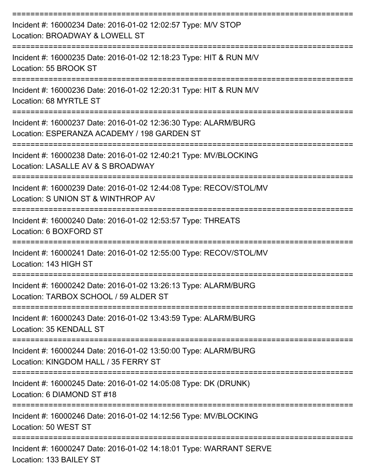| Incident #: 16000234 Date: 2016-01-02 12:02:57 Type: M/V STOP<br>Location: BROADWAY & LOWELL ST                |
|----------------------------------------------------------------------------------------------------------------|
| Incident #: 16000235 Date: 2016-01-02 12:18:23 Type: HIT & RUN M/V<br>Location: 55 BROOK ST                    |
| Incident #: 16000236 Date: 2016-01-02 12:20:31 Type: HIT & RUN M/V<br>Location: 68 MYRTLE ST                   |
| Incident #: 16000237 Date: 2016-01-02 12:36:30 Type: ALARM/BURG<br>Location: ESPERANZA ACADEMY / 198 GARDEN ST |
| Incident #: 16000238 Date: 2016-01-02 12:40:21 Type: MV/BLOCKING<br>Location: LASALLE AV & S BROADWAY          |
| Incident #: 16000239 Date: 2016-01-02 12:44:08 Type: RECOV/STOL/MV<br>Location: S UNION ST & WINTHROP AV       |
| Incident #: 16000240 Date: 2016-01-02 12:53:57 Type: THREATS<br>Location: 6 BOXFORD ST                         |
| Incident #: 16000241 Date: 2016-01-02 12:55:00 Type: RECOV/STOL/MV<br>Location: 143 HIGH ST                    |
| Incident #: 16000242 Date: 2016-01-02 13:26:13 Type: ALARM/BURG<br>Location: TARBOX SCHOOL / 59 ALDER ST       |
| Incident #: 16000243 Date: 2016-01-02 13:43:59 Type: ALARM/BURG<br>Location: 35 KENDALL ST                     |
| Incident #: 16000244 Date: 2016-01-02 13:50:00 Type: ALARM/BURG<br>Location: KINGDOM HALL / 35 FERRY ST        |
| Incident #: 16000245 Date: 2016-01-02 14:05:08 Type: DK (DRUNK)<br>Location: 6 DIAMOND ST #18                  |
| Incident #: 16000246 Date: 2016-01-02 14:12:56 Type: MV/BLOCKING<br>Location: 50 WEST ST                       |
| Incident #: 16000247 Date: 2016-01-02 14:18:01 Type: WARRANT SERVE<br>Location: 133 BAILEY ST                  |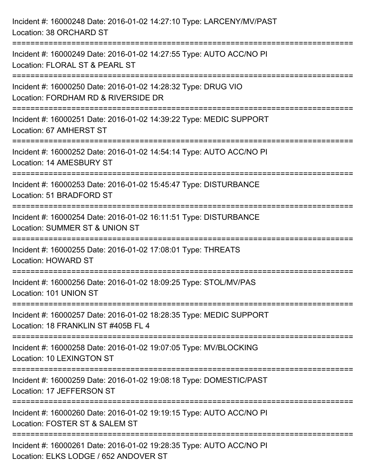| Incident #: 16000248 Date: 2016-01-02 14:27:10 Type: LARCENY/MV/PAST<br>Location: 38 ORCHARD ST                                              |
|----------------------------------------------------------------------------------------------------------------------------------------------|
| Incident #: 16000249 Date: 2016-01-02 14:27:55 Type: AUTO ACC/NO PI<br>Location: FLORAL ST & PEARL ST                                        |
| Incident #: 16000250 Date: 2016-01-02 14:28:32 Type: DRUG VIO<br>Location: FORDHAM RD & RIVERSIDE DR<br>==================================== |
| Incident #: 16000251 Date: 2016-01-02 14:39:22 Type: MEDIC SUPPORT<br>Location: 67 AMHERST ST                                                |
| Incident #: 16000252 Date: 2016-01-02 14:54:14 Type: AUTO ACC/NO PI<br>Location: 14 AMESBURY ST                                              |
| Incident #: 16000253 Date: 2016-01-02 15:45:47 Type: DISTURBANCE<br>Location: 51 BRADFORD ST                                                 |
| Incident #: 16000254 Date: 2016-01-02 16:11:51 Type: DISTURBANCE<br>Location: SUMMER ST & UNION ST                                           |
| Incident #: 16000255 Date: 2016-01-02 17:08:01 Type: THREATS<br><b>Location: HOWARD ST</b>                                                   |
| Incident #: 16000256 Date: 2016-01-02 18:09:25 Type: STOL/MV/PAS<br>Location: 101 UNION ST                                                   |
| Incident #: 16000257 Date: 2016-01-02 18:28:35 Type: MEDIC SUPPORT<br>Location: 18 FRANKLIN ST #405B FL 4                                    |
| Incident #: 16000258 Date: 2016-01-02 19:07:05 Type: MV/BLOCKING<br>Location: 10 LEXINGTON ST                                                |
| Incident #: 16000259 Date: 2016-01-02 19:08:18 Type: DOMESTIC/PAST<br>Location: 17 JEFFERSON ST                                              |
| Incident #: 16000260 Date: 2016-01-02 19:19:15 Type: AUTO ACC/NO PI<br>Location: FOSTER ST & SALEM ST                                        |
| Incident #: 16000261 Date: 2016-01-02 19:28:35 Type: AUTO ACC/NO PI<br>Location: ELKS LODGE / 652 ANDOVER ST                                 |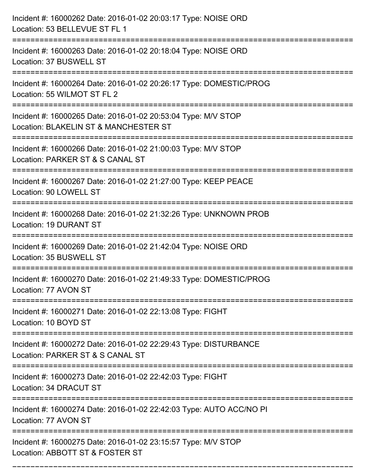| Incident #: 16000262 Date: 2016-01-02 20:03:17 Type: NOISE ORD<br>Location: 53 BELLEVUE ST FL 1                             |
|-----------------------------------------------------------------------------------------------------------------------------|
| Incident #: 16000263 Date: 2016-01-02 20:18:04 Type: NOISE ORD<br>Location: 37 BUSWELL ST                                   |
| Incident #: 16000264 Date: 2016-01-02 20:26:17 Type: DOMESTIC/PROG<br>Location: 55 WILMOT ST FL 2<br>:===================== |
| Incident #: 16000265 Date: 2016-01-02 20:53:04 Type: M/V STOP<br>Location: BLAKELIN ST & MANCHESTER ST                      |
| Incident #: 16000266 Date: 2016-01-02 21:00:03 Type: M/V STOP<br>Location: PARKER ST & S CANAL ST                           |
| Incident #: 16000267 Date: 2016-01-02 21:27:00 Type: KEEP PEACE<br>Location: 90 LOWELL ST                                   |
| Incident #: 16000268 Date: 2016-01-02 21:32:26 Type: UNKNOWN PROB<br><b>Location: 19 DURANT ST</b>                          |
| Incident #: 16000269 Date: 2016-01-02 21:42:04 Type: NOISE ORD<br>Location: 35 BUSWELL ST                                   |
| Incident #: 16000270 Date: 2016-01-02 21:49:33 Type: DOMESTIC/PROG<br>Location: 77 AVON ST                                  |
| Incident #: 16000271 Date: 2016-01-02 22:13:08 Type: FIGHT<br>Location: 10 BOYD ST                                          |
| Incident #: 16000272 Date: 2016-01-02 22:29:43 Type: DISTURBANCE<br>Location: PARKER ST & S CANAL ST                        |
| Incident #: 16000273 Date: 2016-01-02 22:42:03 Type: FIGHT<br>Location: 34 DRACUT ST                                        |
| Incident #: 16000274 Date: 2016-01-02 22:42:03 Type: AUTO ACC/NO PI<br>Location: 77 AVON ST                                 |
| Incident #: 16000275 Date: 2016-01-02 23:15:57 Type: M/V STOP<br>Location: ABBOTT ST & FOSTER ST                            |